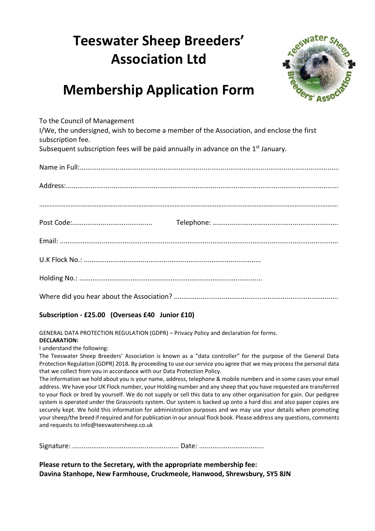## **Teeswater Sheep Breeders' Association Ltd**



## **Membership Application Form**

To the Council of Management

I/We, the undersigned, wish to become a member of the Association, and enclose the first subscription fee.

Subsequent subscription fees will be paid annually in advance on the 1<sup>st</sup> January.

## **Subscription - £25.00 (Overseas £40 Junior £10)**

GENERAL DATA PROTECTION REGULATION (GDPR) – Privacy Policy and declaration for forms.

## **DECLARATION:**

I understand the following:

The Teeswater Sheep Breeders' Association is known as a "data controller" for the purpose of the General Data Protection Regulation (GDPR) 2018. By proceeding to use our service you agree that we may process the personal data that we collect from you in accordance with our Data Protection Policy.

The information we hold about you is your name, address, telephone & mobile numbers and in some cases your email address. We have your UK Flock number, your Holding number and any sheep that you have requested are transferred to your flock or bred by yourself. We do not supply or sell this data to any other organisation for gain. Our pedigree system is operated under the Grassroots system. Our system is backed up onto a hard disc and also paper copies are securely kept. We hold this information for administration purposes and we may use your details when promoting your sheep/the breed if required and for publication in our annual flock book. Please address any questions, comments and requests to info@teeswatersheep.co.uk

Signature: ........................................................ Date: ..................................

**Please return to the Secretary, with the appropriate membership fee: Davina Stanhope, New Farmhouse, Cruckmeole, Hanwood, Shrewsbury, SY5 8JN**